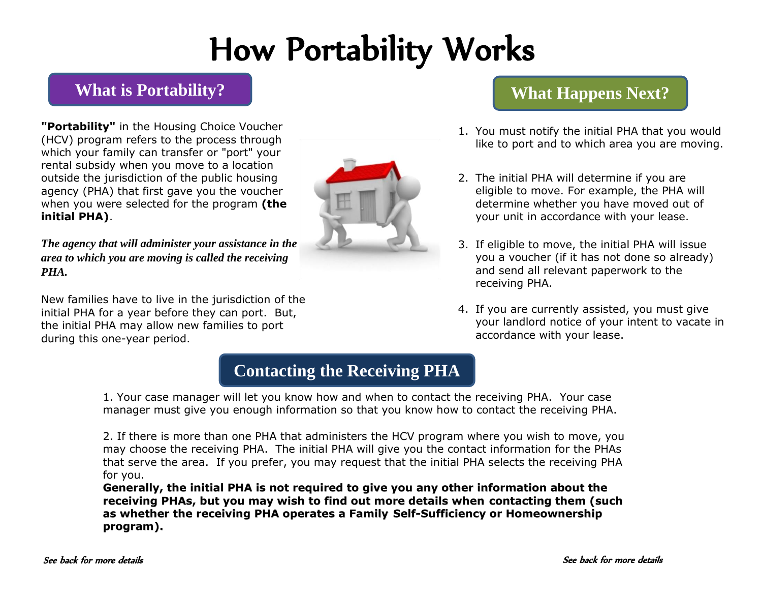# How Portability Works

### **What is Portability?**

**"Portability"** in the Housing Choice Voucher (HCV) program refers to the process through which your family can transfer or "port" your rental subsidy when you move to a location outside the jurisdiction of the public housing agency (PHA) that first gave you the voucher when you were selected for the program **(the initial PHA)**.

*The agency that will administer your assistance in the area to which you are moving is called the receiving PHA.* 

New families have to live in the jurisdiction of the initial PHA for a year before they can port. But, the initial PHA may allow new families to port during this one-year period.



### **What Happens Next?**

- 1. You must notify the initial PHA that you would like to port and to which area you are moving.
- 2. The initial PHA will determine if you are eligible to move. For example, the PHA will determine whether you have moved out of your unit in accordance with your lease.
- 3. If eligible to move, the initial PHA will issue you a voucher (if it has not done so already) and send all relevant paperwork to the receiving PHA.
- 4. If you are currently assisted, you must give your landlord notice of your intent to vacate in accordance with your lease.

## **Contacting the Receiving PHA**

1. Your case manager will let you know how and when to contact the receiving PHA. Your case manager must give you enough information so that you know how to contact the receiving PHA.

2. If there is more than one PHA that administers the HCV program where you wish to move, you may choose the receiving PHA. The initial PHA will give you the contact information for the PHAs that serve the area. If you prefer, you may request that the initial PHA selects the receiving PHA for you.

**Generally, the initial PHA is not required to give you any other information about the receiving PHAs, but you may wish to find out more details when contacting them (such as whether the receiving PHA operates a Family Self-Sufficiency or Homeownership program).**